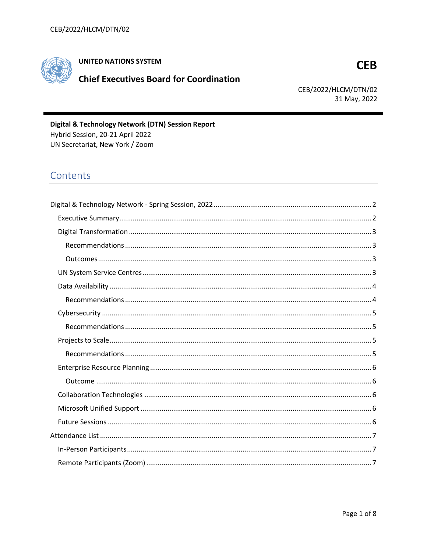

# **UNITED NATIONS SYSTEM**

# **Chief Executives Board for Coordination**

# **CEB**

CEB/2022/HLCM/DTN/02 31 May, 2022

Digital & Technology Network (DTN) Session Report Hybrid Session, 20-21 April 2022 UN Secretariat, New York / Zoom

# Contents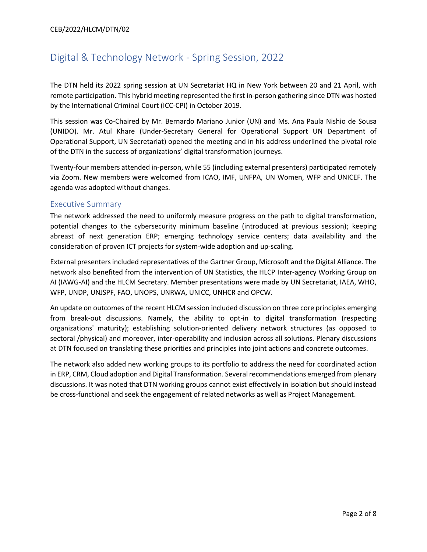# <span id="page-1-0"></span>Digital & Technology Network - Spring Session, 2022

The DTN held its 2022 spring session at UN Secretariat HQ in New York between 20 and 21 April, with remote participation. This hybrid meeting represented the first in-person gathering since DTN was hosted by the International Criminal Court (ICC-CPI) in October 2019.

This session was Co-Chaired by Mr. Bernardo Mariano Junior (UN) and Ms. Ana Paula Nishio de Sousa (UNIDO). Mr. Atul Khare (Under-Secretary General for Operational Support UN Department of Operational Support, UN Secretariat) opened the meeting and in his address underlined the pivotal role of the DTN in the success of organizations' digital transformation journeys.

Twenty-four members attended in-person, while 55 (including external presenters) participated remotely via Zoom. New members were welcomed from ICAO, IMF, UNFPA, UN Women, WFP and UNICEF. The agenda was adopted without changes.

## <span id="page-1-1"></span>Executive Summary

The network addressed the need to uniformly measure progress on the path to digital transformation, potential changes to the cybersecurity minimum baseline (introduced at previous session); keeping abreast of next generation ERP; emerging technology service centers; data availability and the consideration of proven ICT projects for system-wide adoption and up-scaling.

External presenters included representatives of the Gartner Group, Microsoft and the Digital Alliance. The network also benefited from the intervention of UN Statistics, the HLCP Inter-agency Working Group on AI (IAWG-AI) and the HLCM Secretary. Member presentations were made by UN Secretariat, IAEA, WHO, WFP, UNDP, UNJSPF, FAO, UNOPS, UNRWA, UNICC, UNHCR and OPCW.

An update on outcomes of the recent HLCM session included discussion on three core principles emerging from break-out discussions. Namely, the ability to opt-in to digital transformation (respecting organizations' maturity); establishing solution-oriented delivery network structures (as opposed to sectoral /physical) and moreover, inter-operability and inclusion across all solutions. Plenary discussions at DTN focused on translating these priorities and principles into joint actions and concrete outcomes.

The network also added new working groups to its portfolio to address the need for coordinated action in ERP, CRM, Cloud adoption and Digital Transformation. Several recommendations emerged from plenary discussions. It was noted that DTN working groups cannot exist effectively in isolation but should instead be cross-functional and seek the engagement of related networks as well as Project Management.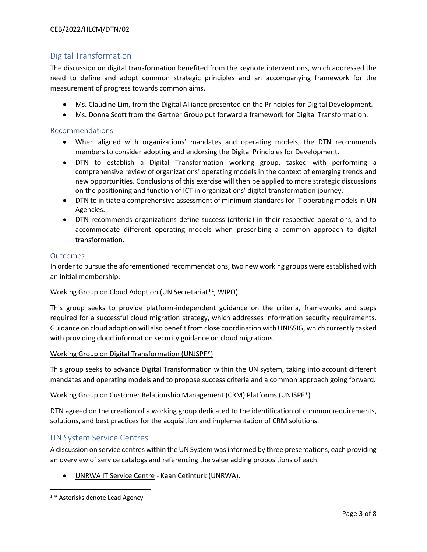## CEB/2022/HLCM/DTN/02

# <span id="page-2-0"></span>Digital Transformation

The discussion on digital transformation benefited from the keynote interventions, which addressed the need to define and adopt common strategic principles and an accompanying framework for the measurement of progress towards common aims.

- Ms. Claudine Lim, from the Digital Alliance presented on the Principles for Digital Development.
- Ms. Donna Scott from the Gartner Group put forward a framework for Digital Transformation.

### <span id="page-2-1"></span>Recommendations

- When aligned with organizations' mandates and operating models, the DTN recommends members to consider adopting and endorsing the Digital Principles for Development.
- DTN to establish a Digital Transformation working group, tasked with performing a comprehensive review of organizations' operating models in the context of emerging trends and new opportunities. Conclusions of this exercise will then be applied to more strategic discussions on the positioning and function of ICT in organizations' digital transformation journey.
- DTN to initiate a comprehensive assessment of minimum standards for IT operating models in UN Agencies.
- DTN recommends organizations define success (criteria) in their respective operations, and to accommodate different operating models when prescribing a common approach to digital transformation.

#### <span id="page-2-2"></span>Outcomes

In order to pursue the aforementioned recommendations, two new working groups were established with an initial membership:

## Working Group on Cloud Adoption (UN Secretariat\*<sup>1</sup> , WIPO)

This group seeks to provide platform-independent guidance on the criteria, frameworks and steps required for a successful cloud migration strategy, which addresses information security requirements. Guidance on cloud adoption will also benefit from close coordination with UNISSIG, which currently tasked with providing cloud information security guidance on cloud migrations.

#### Working Group on Digital Transformation (UNJSPF\*)

This group seeks to advance Digital Transformation within the UN system, taking into account different mandates and operating models and to propose success criteria and a common approach going forward.

#### Working Group on Customer Relationship Management (CRM) Platforms (UNJSPF\*)

DTN agreed on the creation of a working group dedicated to the identification of common requirements, solutions, and best practices for the acquisition and implementation of CRM solutions.

## <span id="page-2-3"></span>UN System Service Centres

A discussion on service centres within the UN System was informed by three presentations, each providing an overview of service catalogs and referencing the value adding propositions of each.

• UNRWA IT Service Centre - Kaan Cetinturk (UNRWA).

<sup>1 \*</sup> Asterisks denote Lead Agency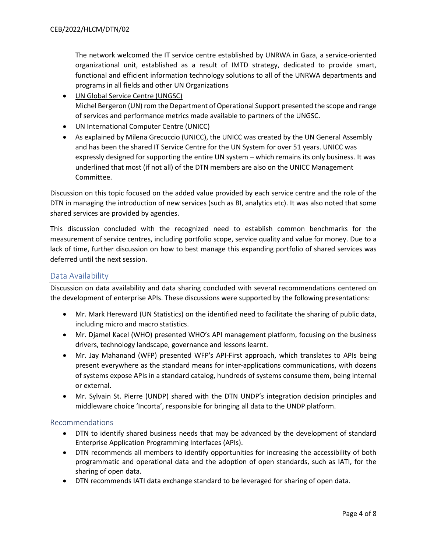The network welcomed the IT service centre established by UNRWA in Gaza, a service-oriented organizational unit, established as a result of IMTD strategy, dedicated to provide smart, functional and efficient information technology solutions to all of the UNRWA departments and programs in all fields and other UN Organizations

- UN Global Service Centre (UNGSC) Michel Bergeron (UN) rom the Department of Operational Support presented the scope and range of services and performance metrics made available to partners of the UNGSC.
- UN International Computer Centre (UNICC)
- As explained by Milena Grecuccio (UNICC), the UNICC was created by the UN General Assembly and has been the shared IT Service Centre for the UN System for over 51 years. UNICC was expressly designed for supporting the entire UN system – which remains its only business. It was underlined that most (if not all) of the DTN members are also on the UNICC Management Committee.

Discussion on this topic focused on the added value provided by each service centre and the role of the DTN in managing the introduction of new services (such as BI, analytics etc). It was also noted that some shared services are provided by agencies.

This discussion concluded with the recognized need to establish common benchmarks for the measurement of service centres, including portfolio scope, service quality and value for money. Due to a lack of time, further discussion on how to best manage this expanding portfolio of shared services was deferred until the next session.

## <span id="page-3-0"></span>Data Availability

Discussion on data availability and data sharing concluded with several recommendations centered on the development of enterprise APIs. These discussions were supported by the following presentations:

- Mr. Mark Hereward (UN Statistics) on the identified need to facilitate the sharing of public data, including micro and macro statistics.
- Mr. Djamel Kacel (WHO) presented WHO's API management platform, focusing on the business drivers, technology landscape, governance and lessons learnt.
- Mr. Jay Mahanand (WFP) presented WFP's API-First approach, which translates to APIs being present everywhere as the standard means for inter-applications communications, with dozens of systems expose APIs in a standard catalog, hundreds of systems consume them, being internal or external.
- Mr. Sylvain St. Pierre (UNDP) shared with the DTN UNDP's integration decision principles and middleware choice 'Incorta', responsible for bringing all data to the UNDP platform.

#### <span id="page-3-1"></span>Recommendations

- DTN to identify shared business needs that may be advanced by the development of standard Enterprise Application Programming Interfaces (APIs).
- DTN recommends all members to identify opportunities for increasing the accessibility of both programmatic and operational data and the adoption of open standards, such as IATI, for the sharing of open data.
- DTN recommends IATI data exchange standard to be leveraged for sharing of open data.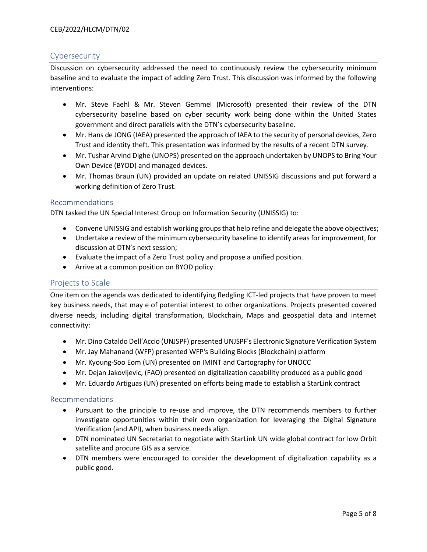# <span id="page-4-0"></span>Cybersecurity

Discussion on cybersecurity addressed the need to continuously review the cybersecurity minimum baseline and to evaluate the impact of adding Zero Trust. This discussion was informed by the following interventions:

- Mr. Steve Faehl & Mr. Steven Gemmel (Microsoft) presented their review of the DTN cybersecurity baseline based on cyber security work being done within the United States government and direct parallels with the DTN's cybersecurity baseline.
- Mr. Hans de JONG (IAEA) presented the approach of IAEA to the security of personal devices, Zero Trust and identity theft. This presentation was informed by the results of a recent DTN survey.
- Mr. Tushar Arvind Dighe (UNOPS) presented on the approach undertaken by UNOPS to Bring Your Own Device (BYOD) and managed devices.
- Mr. Thomas Braun (UN) provided an update on related UNISSIG discussions and put forward a working definition of Zero Trust.

## <span id="page-4-1"></span>Recommendations

DTN tasked the UN Special Interest Group on Information Security (UNISSIG) to:

- Convene UNISSIG and establish working groups that help refine and delegate the above objectives;
- Undertake a review of the minimum cybersecurity baseline to identify areas for improvement, for discussion at DTN's next session;
- Evaluate the impact of a Zero Trust policy and propose a unified position.
- Arrive at a common position on BYOD policy.

## <span id="page-4-2"></span>Projects to Scale

One item on the agenda was dedicated to identifying fledgling ICT-led projects that have proven to meet key business needs, that may e of potential interest to other organizations. Projects presented covered diverse needs, including digital transformation, Blockchain, Maps and geospatial data and internet connectivity:

- Mr. Dino Cataldo Dell'Accio (UNJSPF) presented UNJSPF's Electronic Signature Verification System
- Mr. Jay Mahanand (WFP) presented WFP's Building Blocks (Blockchain) platform
- Mr. Kyoung-Soo Eom (UN) presented on IMINT and Cartography for UNOCC
- Mr. Dejan Jakovljevic, (FAO) presented on digitalization capability produced as a public good
- Mr. Eduardo Artiguas (UN) presented on efforts being made to establish a StarLink contract

## <span id="page-4-3"></span>Recommendations

- Pursuant to the principle to re-use and improve, the DTN recommends members to further investigate opportunities within their own organization for leveraging the Digital Signature Verification (and API), when business needs align.
- DTN nominated UN Secretariat to negotiate with StarLink UN wide global contract for low Orbit satellite and procure GIS as a service.
- DTN members were encouraged to consider the development of digitalization capability as a public good.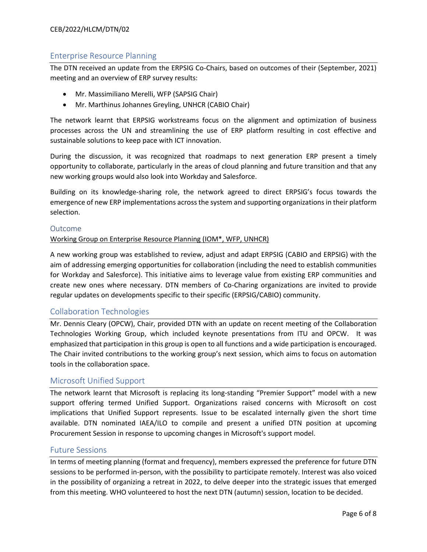# <span id="page-5-0"></span>Enterprise Resource Planning

The DTN received an update from the ERPSIG Co-Chairs, based on outcomes of their (September, 2021) meeting and an overview of ERP survey results:

- Mr. Massimiliano Merelli, WFP (SAPSIG Chair)
- Mr. Marthinus Johannes Greyling, UNHCR (CABIO Chair)

The network learnt that ERPSIG workstreams focus on the alignment and optimization of business processes across the UN and streamlining the use of ERP platform resulting in cost effective and sustainable solutions to keep pace with ICT innovation.

During the discussion, it was recognized that roadmaps to next generation ERP present a timely opportunity to collaborate, particularly in the areas of cloud planning and future transition and that any new working groups would also look into Workday and Salesforce.

Building on its knowledge-sharing role, the network agreed to direct ERPSIG's focus towards the emergence of new ERP implementations across the system and supporting organizations in their platform selection.

## <span id="page-5-1"></span>Outcome

#### Working Group on Enterprise Resource Planning (IOM\*, WFP, UNHCR)

A new working group was established to review, adjust and adapt ERPSIG (CABIO and ERPSIG) with the aim of addressing emerging opportunities for collaboration (including the need to establish communities for Workday and Salesforce). This initiative aims to leverage value from existing ERP communities and create new ones where necessary. DTN members of Co-Charing organizations are invited to provide regular updates on developments specific to their specific (ERPSIG/CABIO) community.

## <span id="page-5-2"></span>Collaboration Technologies

Mr. Dennis Cleary (OPCW), Chair, provided DTN with an update on recent meeting of the Collaboration Technologies Working Group, which included keynote presentations from ITU and OPCW. It was emphasized that participation in this group is open to all functions and a wide participation is encouraged. The Chair invited contributions to the working group's next session, which aims to focus on automation tools in the collaboration space.

## <span id="page-5-3"></span>Microsoft Unified Support

The network learnt that Microsoft is replacing its long-standing "Premier Support" model with a new support offering termed Unified Support. Organizations raised concerns with Microsoft on cost implications that Unified Support represents. Issue to be escalated internally given the short time available. DTN nominated IAEA/ILO to compile and present a unified DTN position at upcoming Procurement Session in response to upcoming changes in Microsoft's support model.

## <span id="page-5-4"></span>Future Sessions

In terms of meeting planning (format and frequency), members expressed the preference for future DTN sessions to be performed in-person, with the possibility to participate remotely. Interest was also voiced in the possibility of organizing a retreat in 2022, to delve deeper into the strategic issues that emerged from this meeting. WHO volunteered to host the next DTN (autumn) session, location to be decided.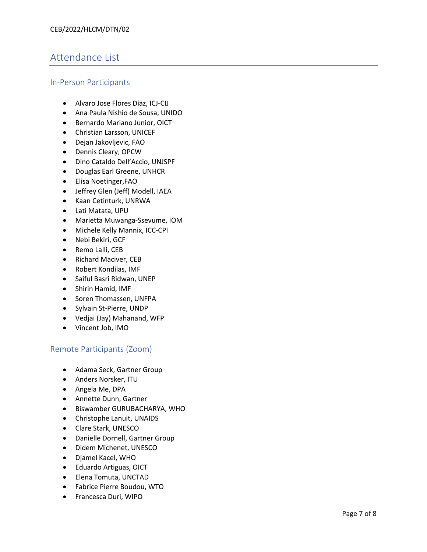# <span id="page-6-0"></span>Attendance List

# <span id="page-6-1"></span>In -Person Participants

- Alvaro Jose Flores Diaz, ICJ -CIJ
- Ana Paula Nishio de Sousa, UNIDO
- Bernardo Mariano Junior, OICT
- Christian Larsson, UNICEF
- Dejan Jakovljevic, FAO
- Dennis Cleary, OPCW
- Dino Cataldo Dell'Accio, UNJSPF
- Douglas Earl Greene, UNHCR
- Elisa Noetinger,FAO
- Jeffrey Glen (Jeff) Modell, IAEA
- Kaan Cetinturk, UNRWA
- Lati Matata, UPU
- Marietta Muwanga-Ssevume, IOM
- Michele Kelly Mannix, ICC-CPI
- Nebi Bekiri, GCF
- Remo Lalli, CEB
- Richard Maciver, CEB
- Robert Kondilas, IMF
- Saiful Basri Ridwan, UNEP
- Shirin Hamid, IMF
- Soren Thomassen, UNFPA
- Sylvain St-Pierre, UNDP
- Vedjai (Jay) Mahanand, WFP
- Vincent Job, IMO

# <span id="page-6-2"></span>Remote Participants (Zoom)

- Adama Seck, Gartner Group
- Anders Norsker, ITU
- Angela Me, DPA
- Annette Dunn, Gartner
- Biswamber GURUBACHARYA, WHO
- Christophe Lanuit, UNAIDS
- Clare Stark, UNESCO
- Danielle Dornell, Gartner Group
- Didem Michenet, UNESCO
- Djamel Kacel, WHO
- Eduardo Artiguas, OICT
- Elena Tomuta, UNCTAD
- Fabrice Pierre Boudou, WTO
- Francesca Duri, WIPO